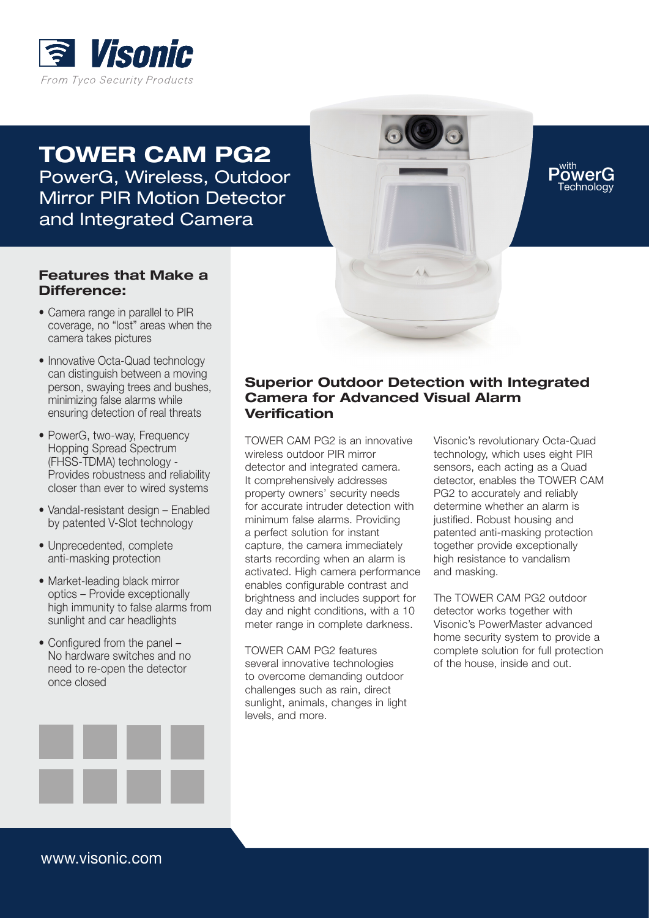

TOWER CAM PG2 PowerG, Wireless, Outdoor Mirror PIR Motion Detector and Integrated Camera

## Features that Make a Difference:

- Camera range in parallel to PIR coverage, no "lost" areas when the camera takes pictures
- Innovative Octa-Quad technology can distinguish between a moving person, swaying trees and bushes, minimizing false alarms while ensuring detection of real threats
- PowerG, two-way, Frequency Hopping Spread Spectrum (FHSS-TDMA) technology - Provides robustness and reliability closer than ever to wired systems
- Vandal-resistant design Enabled by patented V-Slot technology
- Unprecedented, complete anti-masking protection
- Market-leading black mirror optics – Provide exceptionally high immunity to false alarms from sunlight and car headlights
- Configured from the panel No hardware switches and no need to re-open the detector once closed

## Superior Outdoor Detection with Integrated Camera for Advanced Visual Alarm Verification

TOWER CAM PG2 is an innovative wireless outdoor PIR mirror detector and integrated camera. It comprehensively addresses property owners' security needs for accurate intruder detection with minimum false alarms. Providing a perfect solution for instant capture, the camera immediately starts recording when an alarm is activated. High camera performance enables configurable contrast and brightness and includes support for day and night conditions, with a 10 meter range in complete darkness.

TOWER CAM PG2 features several innovative technologies to overcome demanding outdoor challenges such as rain, direct sunlight, animals, changes in light levels, and more.

Visonic's revolutionary Octa-Quad technology, which uses eight PIR sensors, each acting as a Quad detector, enables the TOWER CAM PG2 to accurately and reliably determine whether an alarm is justified. Robust housing and patented anti-masking protection together provide exceptionally high resistance to vandalism and masking.

PowerG Technology

The TOWER CAM PG2 outdoor detector works together with Visonic's PowerMaster advanced home security system to provide a complete solution for full protection of the house, inside and out.



www.visonic.com